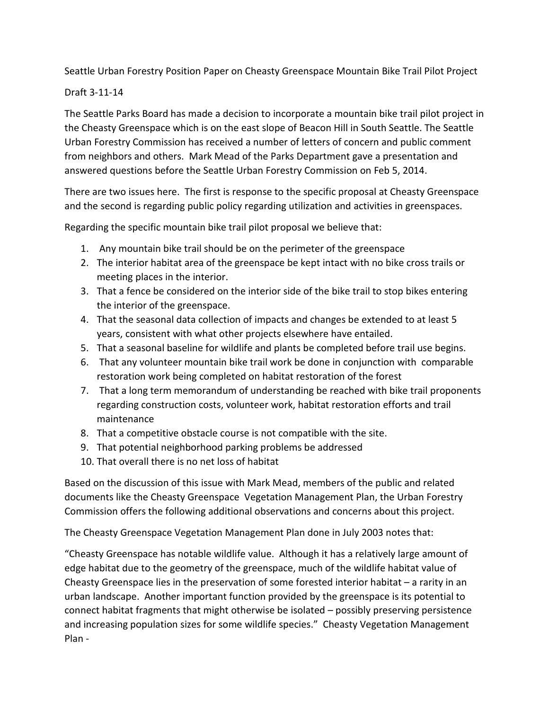Seattle Urban Forestry Position Paper on Cheasty Greenspace Mountain Bike Trail Pilot Project

## Draft 3-11-14

The Seattle Parks Board has made a decision to incorporate a mountain bike trail pilot project in the Cheasty Greenspace which is on the east slope of Beacon Hill in South Seattle. The Seattle Urban Forestry Commission has received a number of letters of concern and public comment from neighbors and others. Mark Mead of the Parks Department gave a presentation and answered questions before the Seattle Urban Forestry Commission on Feb 5, 2014.

There are two issues here. The first is response to the specific proposal at Cheasty Greenspace and the second is regarding public policy regarding utilization and activities in greenspaces.

Regarding the specific mountain bike trail pilot proposal we believe that:

- 1. Any mountain bike trail should be on the perimeter of the greenspace
- 2. The interior habitat area of the greenspace be kept intact with no bike cross trails or meeting places in the interior.
- 3. That a fence be considered on the interior side of the bike trail to stop bikes entering the interior of the greenspace.
- 4. That the seasonal data collection of impacts and changes be extended to at least 5 years, consistent with what other projects elsewhere have entailed.
- 5. That a seasonal baseline for wildlife and plants be completed before trail use begins.
- 6. That any volunteer mountain bike trail work be done in conjunction with comparable restoration work being completed on habitat restoration of the forest
- 7. That a long term memorandum of understanding be reached with bike trail proponents regarding construction costs, volunteer work, habitat restoration efforts and trail maintenance
- 8. That a competitive obstacle course is not compatible with the site.
- 9. That potential neighborhood parking problems be addressed
- 10. That overall there is no net loss of habitat

Based on the discussion of this issue with Mark Mead, members of the public and related documents like the Cheasty Greenspace Vegetation Management Plan, the Urban Forestry Commission offers the following additional observations and concerns about this project.

The Cheasty Greenspace Vegetation Management Plan done in July 2003 notes that:

"Cheasty Greenspace has notable wildlife value. Although it has a relatively large amount of edge habitat due to the geometry of the greenspace, much of the wildlife habitat value of Cheasty Greenspace lies in the preservation of some forested interior habitat – a rarity in an urban landscape. Another important function provided by the greenspace is its potential to connect habitat fragments that might otherwise be isolated – possibly preserving persistence and increasing population sizes for some wildlife species." Cheasty Vegetation Management Plan -